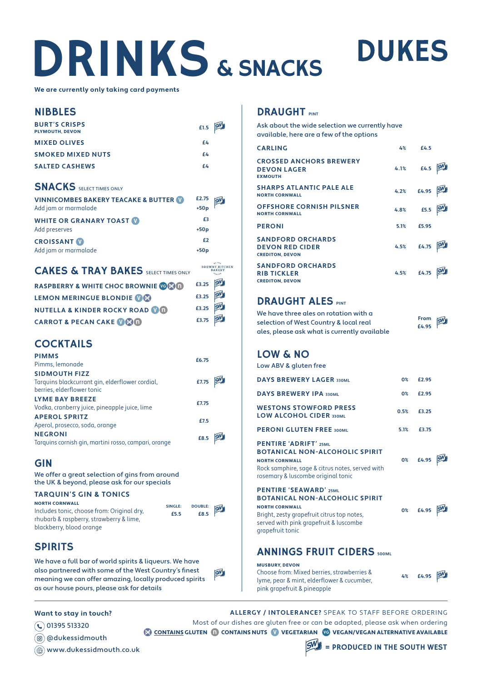# DRINKS & SNACKS

**We are currently only taking card payments**

#### NIBBLES

| <b>BURT'S CRISPS</b><br><b>PLYMOUTH, DEVON</b> | £1.5 5W |  |
|------------------------------------------------|---------|--|
| <b>MIXED OLIVES</b>                            | £4      |  |
| <b>SMOKED MIXED NUTS</b>                       | £4      |  |
| <b>SALTED CASHEWS</b>                          | f4      |  |

### **SNACKS** SELECT TIMES ONLY

| <b>VINNICOMBES BAKERY TEACAKE &amp; BUTTER OF</b><br>Add jam or marmalade | £2.75<br>$+50p$ |  |
|---------------------------------------------------------------------------|-----------------|--|
| <b>WHITE OR GRANARY TOAST V</b><br>Add preserves                          | £3<br>$+50p$    |  |
| <b>CROISSANT</b><br>Add jam or marmalade                                  | £2<br>$+50p$    |  |

### CAKES & TRAY BAKES SELECT TIMES ONLY

| RASPBERRY & WHITE CHOC BROWNIE COM        | £3.25 SW |  |
|-------------------------------------------|----------|--|
| LEMON MERINGUE BLONDIE OG                 | £3.25 SW |  |
| <b>NUTELLA &amp; KINDER ROCKY ROAD OO</b> | £3.25 5W |  |
| <b>CARROT &amp; PECAN CAKE OGO</b>        | £3.75 SW |  |

# **COCKTAILS**

| <b>PIMMS</b><br>Pimms, lemonade                                                                       | £6.75 |  |
|-------------------------------------------------------------------------------------------------------|-------|--|
| <b>SIDMOUTH FIZZ</b><br>Tarquins blackcurrant gin, elderflower cordial,<br>berries, elderflower tonic | £7.75 |  |
| <b>LYME BAY BREEZE</b><br>Vodka, cranberry juice, pineapple juice, lime                               | £7.75 |  |
| <b>APEROL SPRITZ</b><br>Aperol, prosecco, soda, orange                                                | £7.5  |  |
| <b>NEGRONI</b><br>Tarquins cornish gin, martini rosso, campari, orange                                | £8.5  |  |

# GIN

We offer a great selection of gins from around the UK & beyond, please ask for our specials

#### **TARQUIN'S GIN & TONICS**

NORTH CORNWALL Includes tonic, choose from: Original dry, rhubarb & raspberry, strawberry & lime, blackberry, blood orange

| SINGLE: | DOUBLE: SW |  |
|---------|------------|--|
| £5.5    | £8.5       |  |

BROWNS KITCHEN

# **SPIRITS**

We have a full bar of world spirits & liqueurs. We have also partnered with some of the West Country's finest  $5M$ meaning we can offer amazing, locally produced spirits as our house pours, please ask for details

#### **Want to stay in touch?**

01395 513320

@dukessidmouth

www.dukessidmouth.co.uk

# **DRAUGHT**

Ask about the wide selection we currently have available, here are a few of the options

| <b>CARLING</b>                                                               | 4%   | £4.5                            |  |
|------------------------------------------------------------------------------|------|---------------------------------|--|
| <b>CROSSED ANCHORS BREWERY</b><br><b>DEVON LAGER</b><br><b>EXMOUTH</b>       | 4.1% | £4.5                            |  |
| <b>SHARPS ATLANTIC PALE ALE</b><br><b>NORTH CORNWALL</b>                     | 4.2% | £4.95                           |  |
| <b>OFFSHORE CORNISH PILSNER</b><br><b>NORTH CORNWALL</b>                     | 4.8% | £5.5                            |  |
| <b>PERONI</b>                                                                | 5.1% | £5.95                           |  |
| <b>SANDFORD ORCHARDS</b><br><b>DEVON RED CIDER</b><br><b>CREDITON, DEVON</b> | 4.5% | $\pmb{\mathsf{E}}\mathbf{4.75}$ |  |
| <b>SANDFORD ORCHARDS</b><br><b>RIB TICKLER</b><br><b>CREDITON, DEVON</b>     | 4.5% | £4.75                           |  |

**DUKES** 

# **DRAUGHT ALES PINT**

We have three ales on rotation with a **From**  SW selection of West Country & local real **£4.95** ales, please ask what is currently available

# LOW & NO

Low ABV & gluten free

| <b>DAYS BREWERY LAGER 330ML</b>                                                                                                                                                                              | 0 <sup>2</sup> | £2.95 |  |
|--------------------------------------------------------------------------------------------------------------------------------------------------------------------------------------------------------------|----------------|-------|--|
| <b>DAYS BREWERY IPA 330ML</b>                                                                                                                                                                                | 0 <sup>2</sup> | £2.95 |  |
| <b>WESTONS STOWFORD PRESS</b><br><b>LOW ALCOHOL CIDER 330ML</b>                                                                                                                                              | 0.5%           | £3.25 |  |
| <b>PERONI GLUTEN FREE 300ML</b>                                                                                                                                                                              | 5.1%           | £3.75 |  |
| <b>PENTIRE 'ADRIFT' 25ML</b><br><b>BOTANICAL NON-ALCOHOLIC SPIRIT</b><br><b>NORTH CORNWALL</b><br>Rock samphire, sage & citrus notes, served with<br>rosemary & luscombe original tonic                      | 0%             | £4.95 |  |
| <b>PENTIRE 'SEAWARD' 25MIL</b><br><b>BOTANICAL NON-ALCOHOLIC SPIRIT</b><br><b>NORTH CORNWALL</b><br>Bright, zesty grapefruit citrus top notes,<br>served with pink grapefruit & luscombe<br>grapefruit tonic | 0%             | £4.95 |  |

# ANNINGS FRUIT CIDERS **500ML**

#### MUSBURY, DEVON

| Choose from: Mixed berries, strawberries & | 4% | £4.95 5W |  |
|--------------------------------------------|----|----------|--|
| lyme, pear & mint, elderflower & cucumber, |    |          |  |
| pink grapefruit & pineapple                |    |          |  |

**ALLERGY / INTOLERANCE?** SPEAK TO STAFF BEFORE ORDERING Most of our dishes are gluten free or can be adapted, please ask when ordering **CONTAINS GLUTEN CONTAINS NUTS CONTARIAN CONTAINS ALTERNATIVE AVAILABLE**